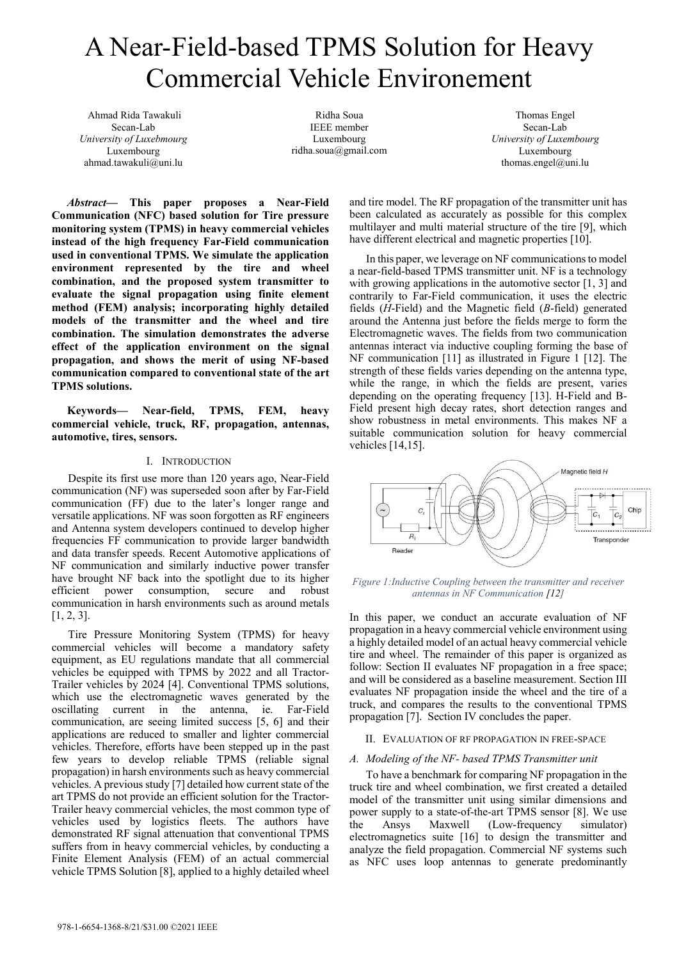# A Near-Field-based TPMS Solution for Heavy Commercial Vehicle Environement

 Ahmad Rida Tawakuli Secan-Lab *University of Luxebmourg*  Luxembourg ahmad.tawakuli@uni.lu

Ridha Soua IEEE member Luxembourg ridha.soua@gmail.com

Thomas Engel Secan-Lab *University of Luxembourg*  Luxembourg thomas.engel@uni.lu

*Abstract***— This paper proposes a Near-Field Communication (NFC) based solution for Tire pressure monitoring system (TPMS) in heavy commercial vehicles instead of the high frequency Far-Field communication used in conventional TPMS. We simulate the application environment represented by the tire and wheel combination, and the proposed system transmitter to evaluate the signal propagation using finite element method (FEM) analysis; incorporating highly detailed models of the transmitter and the wheel and tire combination. The simulation demonstrates the adverse effect of the application environment on the signal propagation, and shows the merit of using NF-based communication compared to conventional state of the art TPMS solutions.** 

**Keywords— Near-field, TPMS, FEM, heavy commercial vehicle, truck, RF, propagation, antennas, automotive, tires, sensors.** 

## I. INTRODUCTION

Despite its first use more than 120 years ago, Near-Field communication (NF) was superseded soon after by Far-Field communication (FF) due to the later's longer range and versatile applications. NF was soon forgotten as RF engineers and Antenna system developers continued to develop higher frequencies FF communication to provide larger bandwidth and data transfer speeds. Recent Automotive applications of NF communication and similarly inductive power transfer have brought NF back into the spotlight due to its higher efficient power consumption, secure and robust communication in harsh environments such as around metals  $[1, 2, 3].$ 

Tire Pressure Monitoring System (TPMS) for heavy commercial vehicles will become a mandatory safety equipment, as EU regulations mandate that all commercial vehicles be equipped with TPMS by 2022 and all Tractor-Trailer vehicles by 2024 [4]. Conventional TPMS solutions, which use the electromagnetic waves generated by the oscillating current in the antenna, ie. Far-Field communication, are seeing limited success [5, 6] and their applications are reduced to smaller and lighter commercial vehicles. Therefore, efforts have been stepped up in the past few years to develop reliable TPMS (reliable signal propagation) in harsh environments such as heavy commercial vehicles. A previous study [7] detailed how current state of the art TPMS do not provide an efficient solution for the Tractor-Trailer heavy commercial vehicles, the most common type of vehicles used by logistics fleets. The authors have demonstrated RF signal attenuation that conventional TPMS suffers from in heavy commercial vehicles, by conducting a Finite Element Analysis (FEM) of an actual commercial vehicle TPMS Solution [8], applied to a highly detailed wheel

and tire model. The RF propagation of the transmitter unit has been calculated as accurately as possible for this complex multilayer and multi material structure of the tire [9], which have different electrical and magnetic properties [10].

In this paper, we leverage on NF communications to model a near-field-based TPMS transmitter unit. NF is a technology with growing applications in the automotive sector [1, 3] and contrarily to Far-Field communication, it uses the electric fields (*H*-Field) and the Magnetic field (*B*-field) generated around the Antenna just before the fields merge to form the Electromagnetic waves. The fields from two communication antennas interact via inductive coupling forming the base of NF communication [11] as illustrated in Figure 1 [12]. The strength of these fields varies depending on the antenna type, while the range, in which the fields are present, varies depending on the operating frequency [13]. H-Field and B-Field present high decay rates, short detection ranges and show robustness in metal environments. This makes NF a suitable communication solution for heavy commercial vehicles [14,15].



#### *Figure 1:Inductive Coupling between the transmitter and receiver antennas in NF Communication [12]*

In this paper, we conduct an accurate evaluation of NF propagation in a heavy commercial vehicle environment using a highly detailed model of an actual heavy commercial vehicle tire and wheel. The remainder of this paper is organized as follow: Section II evaluates NF propagation in a free space; and will be considered as a baseline measurement. Section III evaluates NF propagation inside the wheel and the tire of a truck, and compares the results to the conventional TPMS propagation [7]. Section IV concludes the paper.

## II. EVALUATION OF RF PROPAGATION IN FREE-SPACE

## *A. Modeling of the NF- based TPMS Transmitter unit*

To have a benchmark for comparing NF propagation in the truck tire and wheel combination, we first created a detailed model of the transmitter unit using similar dimensions and power supply to a state-of-the-art TPMS sensor [8]. We use the Ansys Maxwell (Low-frequency simulator) electromagnetics suite [16] to design the transmitter and analyze the field propagation. Commercial NF systems such as NFC uses loop antennas to generate predominantly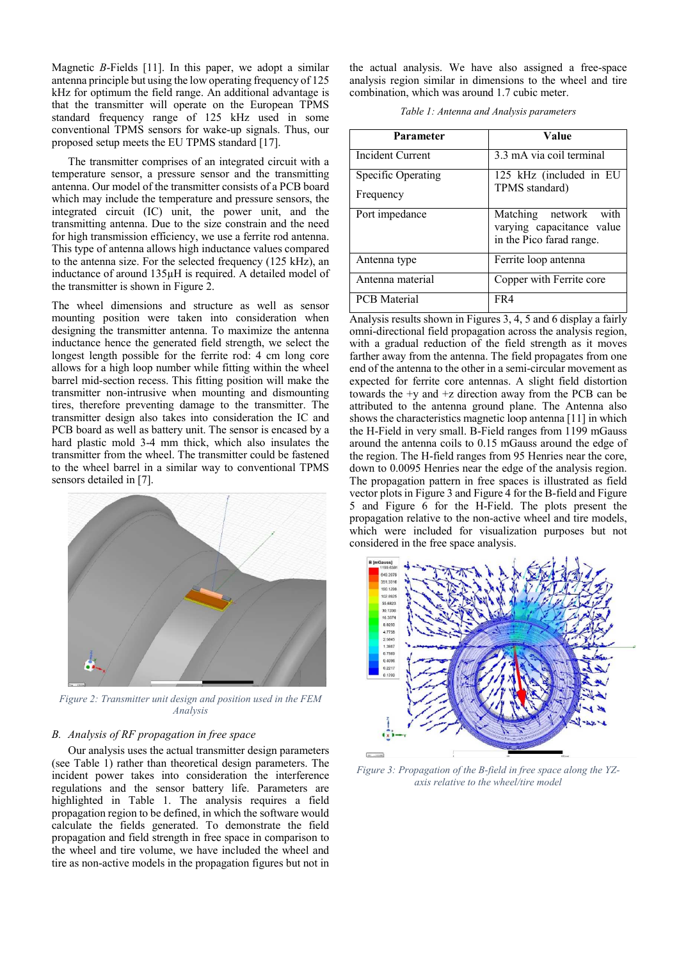Magnetic *B*-Fields [11]. In this paper, we adopt a similar antenna principle but using the low operating frequency of 125 kHz for optimum the field range. An additional advantage is that the transmitter will operate on the European TPMS standard frequency range of 125 kHz used in some conventional TPMS sensors for wake-up signals. Thus, our proposed setup meets the EU TPMS standard [17].

The transmitter comprises of an integrated circuit with a temperature sensor, a pressure sensor and the transmitting antenna. Our model of the transmitter consists of a PCB board which may include the temperature and pressure sensors, the integrated circuit (IC) unit, the power unit, and the transmitting antenna. Due to the size constrain and the need for high transmission efficiency, we use a ferrite rod antenna. This type of antenna allows high inductance values compared to the antenna size. For the selected frequency (125 kHz), an inductance of around 135µH is required. A detailed model of the transmitter is shown in Figure 2.

The wheel dimensions and structure as well as sensor mounting position were taken into consideration when designing the transmitter antenna. To maximize the antenna inductance hence the generated field strength, we select the longest length possible for the ferrite rod: 4 cm long core allows for a high loop number while fitting within the wheel barrel mid-section recess. This fitting position will make the transmitter non-intrusive when mounting and dismounting tires, therefore preventing damage to the transmitter. The transmitter design also takes into consideration the IC and PCB board as well as battery unit. The sensor is encased by a hard plastic mold 3-4 mm thick, which also insulates the transmitter from the wheel. The transmitter could be fastened to the wheel barrel in a similar way to conventional TPMS sensors detailed in [7].



*Figure 2: Transmitter unit design and position used in the FEM Analysis* 

# *B. Analysis of RF propagation in free space*

Our analysis uses the actual transmitter design parameters (see Table 1) rather than theoretical design parameters. The incident power takes into consideration the interference regulations and the sensor battery life. Parameters are highlighted in Table 1. The analysis requires a field propagation region to be defined, in which the software would calculate the fields generated. To demonstrate the field propagation and field strength in free space in comparison to the wheel and tire volume, we have included the wheel and tire as non-active models in the propagation figures but not in the actual analysis. We have also assigned a free-space analysis region similar in dimensions to the wheel and tire combination, which was around 1.7 cubic meter.

| Parameter               | Value                                                                          |
|-------------------------|--------------------------------------------------------------------------------|
| <b>Incident Current</b> | 3.3 mA via coil terminal                                                       |
| Specific Operating      | 125 kHz (included in EU                                                        |
| Frequency               | TPMS standard)                                                                 |
| Port impedance          | Matching network with<br>varying capacitance value<br>in the Pico farad range. |
| Antenna type            | Ferrite loop antenna                                                           |
| Antenna material        | Copper with Ferrite core                                                       |
| <b>PCB</b> Material     | FR4                                                                            |

Analysis results shown in Figures 3, 4, 5 and 6 display a fairly omni-directional field propagation across the analysis region, with a gradual reduction of the field strength as it moves farther away from the antenna. The field propagates from one end of the antenna to the other in a semi-circular movement as expected for ferrite core antennas. A slight field distortion towards the  $+y$  and  $+z$  direction away from the PCB can be attributed to the antenna ground plane. The Antenna also shows the characteristics magnetic loop antenna [11] in which the H-Field in very small. B-Field ranges from 1199 mGauss around the antenna coils to 0.15 mGauss around the edge of the region. The H-field ranges from 95 Henries near the core, down to 0.0095 Henries near the edge of the analysis region. The propagation pattern in free spaces is illustrated as field vector plots in Figure 3 and Figure 4 for the B-field and Figure 5 and Figure 6 for the H-Field. The plots present the propagation relative to the non-active wheel and tire models, which were included for visualization purposes but not considered in the free space analysis.



*Figure 3: Propagation of the B-field in free space along the YZaxis relative to the wheel/tire model*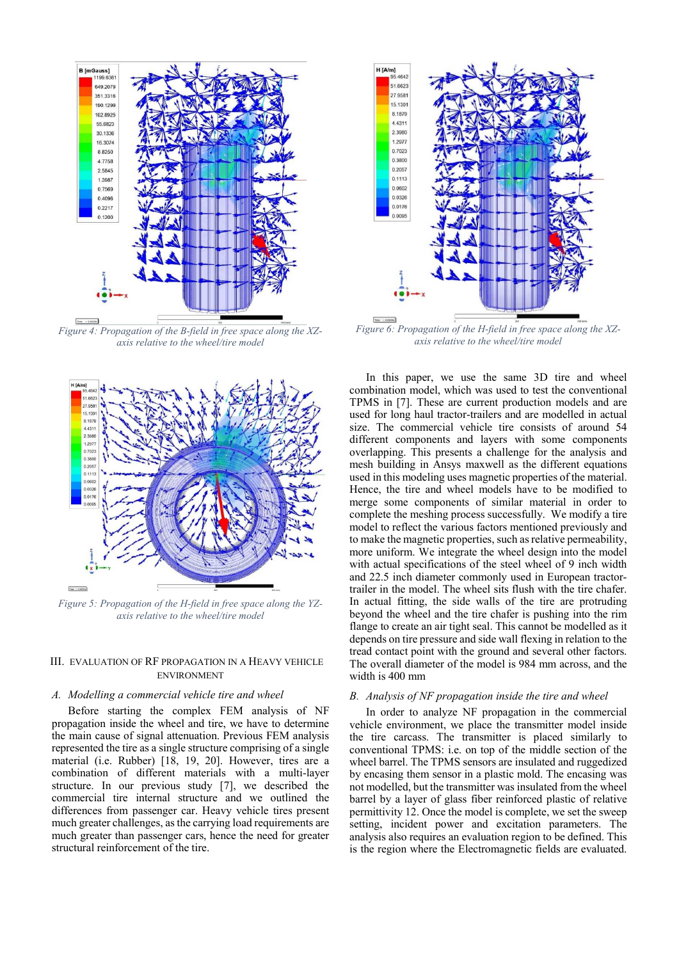

*Figure 4: Propagation of the B-field in free space along the XZaxis relative to the wheel/tire model* 



*Figure 5: Propagation of the H-field in free space along the YZaxis relative to the wheel/tire model* 

# III. EVALUATION OF RF PROPAGATION IN A HEAVY VEHICLE ENVIRONMENT

### *A. Modelling a commercial vehicle tire and wheel*

Before starting the complex FEM analysis of NF propagation inside the wheel and tire, we have to determine the main cause of signal attenuation. Previous FEM analysis represented the tire as a single structure comprising of a single material (i.e. Rubber) [18, 19, 20]. However, tires are a combination of different materials with a multi-layer structure. In our previous study [7], we described the commercial tire internal structure and we outlined the differences from passenger car. Heavy vehicle tires present much greater challenges, as the carrying load requirements are much greater than passenger cars, hence the need for greater structural reinforcement of the tire.



*Figure 6: Propagation of the H-field in free space along the XZaxis relative to the wheel/tire model* 

In this paper, we use the same 3D tire and wheel combination model, which was used to test the conventional TPMS in [7]. These are current production models and are used for long haul tractor-trailers and are modelled in actual size. The commercial vehicle tire consists of around 54 different components and layers with some components overlapping. This presents a challenge for the analysis and mesh building in Ansys maxwell as the different equations used in this modeling uses magnetic properties of the material. Hence, the tire and wheel models have to be modified to merge some components of similar material in order to complete the meshing process successfully. We modify a tire model to reflect the various factors mentioned previously and to make the magnetic properties, such as relative permeability, more uniform. We integrate the wheel design into the model with actual specifications of the steel wheel of 9 inch width and 22.5 inch diameter commonly used in European tractortrailer in the model. The wheel sits flush with the tire chafer. In actual fitting, the side walls of the tire are protruding beyond the wheel and the tire chafer is pushing into the rim flange to create an air tight seal. This cannot be modelled as it depends on tire pressure and side wall flexing in relation to the tread contact point with the ground and several other factors. The overall diameter of the model is 984 mm across, and the width is 400 mm

## *B. Analysis of NF propagation inside the tire and wheel*

In order to analyze NF propagation in the commercial vehicle environment, we place the transmitter model inside the tire carcass. The transmitter is placed similarly to conventional TPMS: i.e. on top of the middle section of the wheel barrel. The TPMS sensors are insulated and ruggedized by encasing them sensor in a plastic mold. The encasing was not modelled, but the transmitter was insulated from the wheel barrel by a layer of glass fiber reinforced plastic of relative permittivity 12. Once the model is complete, we set the sweep setting, incident power and excitation parameters. The analysis also requires an evaluation region to be defined. This is the region where the Electromagnetic fields are evaluated.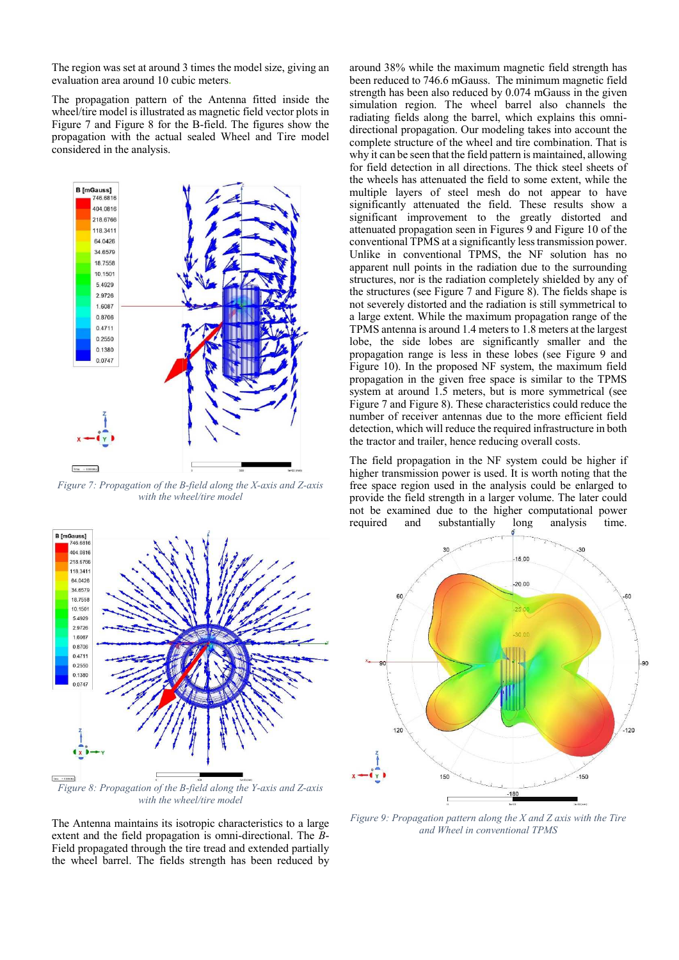The region was set at around 3 times the model size, giving an evaluation area around 10 cubic meters**.**

The propagation pattern of the Antenna fitted inside the wheel/tire model is illustrated as magnetic field vector plots in Figure 7 and Figure 8 for the B-field. The figures show the propagation with the actual sealed Wheel and Tire model considered in the analysis.



*Figure 7: Propagation of the B-field along the X-axis and Z-axis with the wheel/tire model* 



*with the wheel/tire model* 

The Antenna maintains its isotropic characteristics to a large extent and the field propagation is omni-directional. The *B*-Field propagated through the tire tread and extended partially the wheel barrel. The fields strength has been reduced by around 38% while the maximum magnetic field strength has been reduced to 746.6 mGauss. The minimum magnetic field strength has been also reduced by 0.074 mGauss in the given simulation region. The wheel barrel also channels the radiating fields along the barrel, which explains this omnidirectional propagation. Our modeling takes into account the complete structure of the wheel and tire combination. That is why it can be seen that the field pattern is maintained, allowing for field detection in all directions. The thick steel sheets of the wheels has attenuated the field to some extent, while the multiple layers of steel mesh do not appear to have significantly attenuated the field. These results show a significant improvement to the greatly distorted and attenuated propagation seen in Figures 9 and Figure 10 of the conventional TPMS at a significantly less transmission power. Unlike in conventional TPMS, the NF solution has no apparent null points in the radiation due to the surrounding structures, nor is the radiation completely shielded by any of the structures (see Figure 7 and Figure 8). The fields shape is not severely distorted and the radiation is still symmetrical to a large extent. While the maximum propagation range of the TPMS antenna is around 1.4 meters to 1.8 meters at the largest lobe, the side lobes are significantly smaller and the propagation range is less in these lobes (see Figure 9 and Figure 10). In the proposed NF system, the maximum field propagation in the given free space is similar to the TPMS system at around 1.5 meters, but is more symmetrical (see Figure 7 and Figure 8). These characteristics could reduce the number of receiver antennas due to the more efficient field detection, which will reduce the required infrastructure in both the tractor and trailer, hence reducing overall costs.

The field propagation in the NF system could be higher if higher transmission power is used. It is worth noting that the free space region used in the analysis could be enlarged to provide the field strength in a larger volume. The later could not be examined due to the higher computational power required and substantially long analysis time.



*Figure 9: Propagation pattern along the X and Z axis with the Tire and Wheel in conventional TPMS*